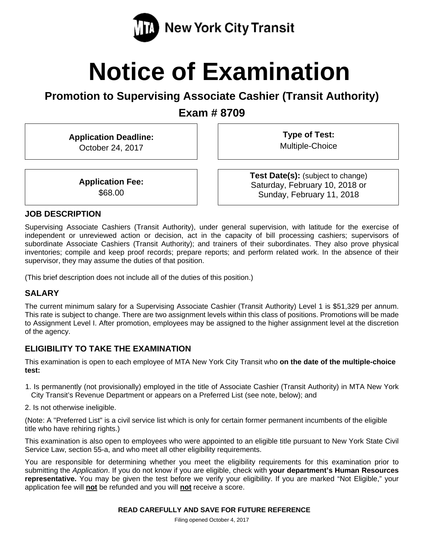

# **Notice of Examination**

**Promotion to Supervising Associate Cashier (Transit Authority)** 

**Exam # 8709** 

**Application Deadline:**  October 24, 2017

**Type of Test:**  Multiple-Choice

**Application Fee:**  \$68.00

**Test Date(s):** (subject to change) Saturday, February 10, 2018 or Sunday, February 11, 2018

## **JOB DESCRIPTION**

Supervising Associate Cashiers (Transit Authority), under general supervision, with latitude for the exercise of independent or unreviewed action or decision, act in the capacity of bill processing cashiers; supervisors of subordinate Associate Cashiers (Transit Authority); and trainers of their subordinates. They also prove physical inventories; compile and keep proof records; prepare reports; and perform related work. In the absence of their supervisor, they may assume the duties of that position.

(This brief description does not include all of the duties of this position.)

# **SALARY**

The current minimum salary for a Supervising Associate Cashier (Transit Authority) Level 1 is \$51,329 per annum. This rate is subject to change. There are two assignment levels within this class of positions. Promotions will be made to Assignment Level I. After promotion, employees may be assigned to the higher assignment level at the discretion of the agency.

# **ELIGIBILITY TO TAKE THE EXAMINATION**

This examination is open to each employee of MTA New York City Transit who **on the date of the multiple-choice test:** 

- 1. Is permanently (not provisionally) employed in the title of Associate Cashier (Transit Authority) in MTA New York City Transit's Revenue Department or appears on a Preferred List (see note, below); and
- 2. Is not otherwise ineligible.

(Note: A "Preferred List" is a civil service list which is only for certain former permanent incumbents of the eligible title who have rehiring rights.)

This examination is also open to employees who were appointed to an eligible title pursuant to New York State Civil Service Law, section 55-a, and who meet all other eligibility requirements.

You are responsible for determining whether you meet the eligibility requirements for this examination prior to submitting the *Application*. If you do not know if you are eligible, check with **your department's Human Resources representative.** You may be given the test before we verify your eligibility. If you are marked "Not Eligible," your application fee will **not** be refunded and you will **not** receive a score.

Filing opened October 4, 2017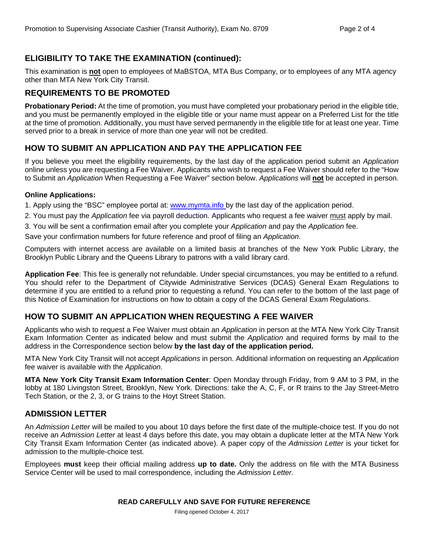# **ELIGIBILITY TO TAKE THE EXAMINATION (continued):**

This examination is **not** open to employees of MaBSTOA, MTA Bus Company, or to employees of any MTA agency other than MTA New York City Transit.

# **REQUIREMENTS TO BE PROMOTED**

**Probationary Period:** At the time of promotion, you must have completed your probationary period in the eligible title, and you must be permanently employed in the eligible title or your name must appear on a Preferred List for the title at the time of promotion. Additionally, you must have served permanently in the eligible title for at least one year. Time served prior to a break in service of more than one year will not be credited.

## **HOW TO SUBMIT AN APPLICATION AND PAY THE APPLICATION FEE**

If you believe you meet the eligibility requirements, by the last day of the application period submit an *Application* online unless you are requesting a Fee Waiver. Applicants who wish to request a Fee Waiver should refer to the "How to Submit an *Application* When Requesting a Fee Waiver" section below. *Applications* will **not** be accepted in person.

#### **Online Applications:**

1. Apply using the "BSC" employee portal at: www.mymta.info by the last day of the application period.

2. You must pay the *Application* fee via payroll deduction. Applicants who request a fee waiver must apply by mail.

3. You will be sent a confirmation email after you complete your *Application* and pay the *Application* fee.

Save your confirmation numbers for future reference and proof of filing an *Application*.

Computers with internet access are available on a limited basis at branches of the New York Public Library, the Brooklyn Public Library and the Queens Library to patrons with a valid library card.

**Application Fee**: This fee is generally not refundable. Under special circumstances, you may be entitled to a refund. You should refer to the Department of Citywide Administrative Services (DCAS) General Exam Regulations to determine if you are entitled to a refund prior to requesting a refund. You can refer to the bottom of the last page of this Notice of Examination for instructions on how to obtain a copy of the DCAS General Exam Regulations.

# **HOW TO SUBMIT AN APPLICATION WHEN REQUESTING A FEE WAIVER**

Applicants who wish to request a Fee Waiver must obtain an *Application* in person at the MTA New York City Transit Exam Information Center as indicated below and must submit the *Application* and required forms by mail to the address in the Correspondence section below **by the last day of the application period.**

MTA New York City Transit will not accept *Applications* in person. Additional information on requesting an *Application* fee waiver is available with the *Application.* 

**MTA New York City Transit Exam Information Center**: Open Monday through Friday, from 9 AM to 3 PM, in the lobby at 180 Livingston Street, Brooklyn, New York. Directions: take the A, C, F, or R trains to the Jay Street-Metro Tech Station, or the 2, 3, or G trains to the Hoyt Street Station.

#### **ADMISSION LETTER**

An *Admission Letter* will be mailed to you about 10 days before the first date of the multiple-choice test. If you do not receive an *Admission Letter* at least 4 days before this date, you may obtain a duplicate letter at the MTA New York City Transit Exam Information Center (as indicated above). A paper copy of the *Admission Letter* is your ticket for admission to the multiple-choice test.

Employees **must** keep their official mailing address **up to date.** Only the address on file with the MTA Business Service Center will be used to mail correspondence, including the *Admission Letter.*

#### **READ CAREFULLY AND SAVE FOR FUTURE REFERENCE**

Filing opened October 4, 2017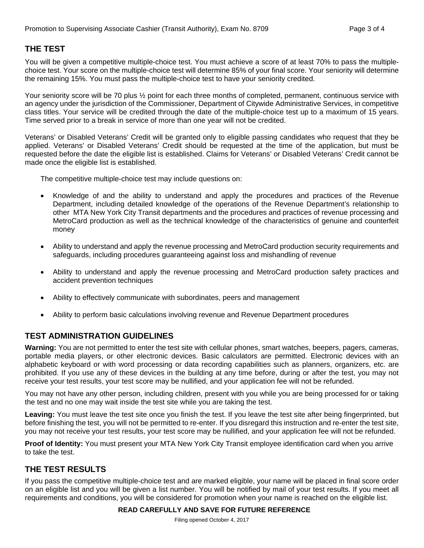# **THE TEST**

You will be given a competitive multiple-choice test. You must achieve a score of at least 70% to pass the multiplechoice test. Your score on the multiple-choice test will determine 85% of your final score. Your seniority will determine the remaining 15%. You must pass the multiple-choice test to have your seniority credited.

Your seniority score will be 70 plus  $\frac{1}{2}$  point for each three months of completed, permanent, continuous service with an agency under the jurisdiction of the Commissioner, Department of Citywide Administrative Services, in competitive class titles. Your service will be credited through the date of the multiple-choice test up to a maximum of 15 years. Time served prior to a break in service of more than one year will not be credited.

Veterans' or Disabled Veterans' Credit will be granted only to eligible passing candidates who request that they be applied. Veterans' or Disabled Veterans' Credit should be requested at the time of the application, but must be requested before the date the eligible list is established. Claims for Veterans' or Disabled Veterans' Credit cannot be made once the eligible list is established.

The competitive multiple-choice test may include questions on:

- Knowledge of and the ability to understand and apply the procedures and practices of the Revenue Department, including detailed knowledge of the operations of the Revenue Department's relationship to other MTA New York City Transit departments and the procedures and practices of revenue processing and MetroCard production as well as the technical knowledge of the characteristics of genuine and counterfeit money
- Ability to understand and apply the revenue processing and MetroCard production security requirements and safeguards, including procedures guaranteeing against loss and mishandling of revenue
- Ability to understand and apply the revenue processing and MetroCard production safety practices and accident prevention techniques
- Ability to effectively communicate with subordinates, peers and management
- Ability to perform basic calculations involving revenue and Revenue Department procedures

#### **TEST ADMINISTRATION GUIDELINES**

**Warning:** You are not permitted to enter the test site with cellular phones, smart watches, beepers, pagers, cameras, portable media players, or other electronic devices. Basic calculators are permitted. Electronic devices with an alphabetic keyboard or with word processing or data recording capabilities such as planners, organizers, etc. are prohibited. If you use any of these devices in the building at any time before, during or after the test, you may not receive your test results, your test score may be nullified, and your application fee will not be refunded.

You may not have any other person, including children, present with you while you are being processed for or taking the test and no one may wait inside the test site while you are taking the test.

**Leaving:** You must leave the test site once you finish the test. If you leave the test site after being fingerprinted, but before finishing the test, you will not be permitted to re-enter. If you disregard this instruction and re-enter the test site, you may not receive your test results, your test score may be nullified, and your application fee will not be refunded.

**Proof of Identity:** You must present your MTA New York City Transit employee identification card when you arrive to take the test.

#### **THE TEST RESULTS**

If you pass the competitive multiple-choice test and are marked eligible, your name will be placed in final score order on an eligible list and you will be given a list number. You will be notified by mail of your test results. If you meet all requirements and conditions, you will be considered for promotion when your name is reached on the eligible list.

#### **READ CAREFULLY AND SAVE FOR FUTURE REFERENCE**

Filing opened October 4, 2017